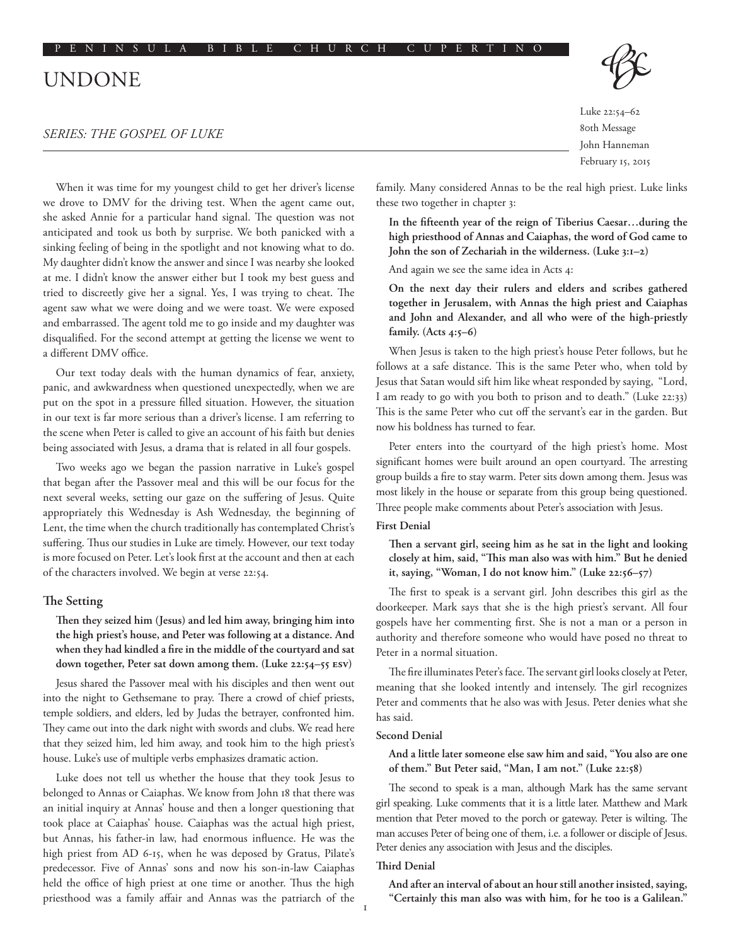# UNDONE

## *SERIES: THE GOSPEL OF LUKE*

When it was time for my youngest child to get her driver's license we drove to DMV for the driving test. When the agent came out, she asked Annie for a particular hand signal. The question was not anticipated and took us both by surprise. We both panicked with a sinking feeling of being in the spotlight and not knowing what to do. My daughter didn't know the answer and since I was nearby she looked at me. I didn't know the answer either but I took my best guess and tried to discreetly give her a signal. Yes, I was trying to cheat. The agent saw what we were doing and we were toast. We were exposed and embarrassed. The agent told me to go inside and my daughter was disqualified. For the second attempt at getting the license we went to a different DMV office.

Our text today deals with the human dynamics of fear, anxiety, panic, and awkwardness when questioned unexpectedly, when we are put on the spot in a pressure filled situation. However, the situation in our text is far more serious than a driver's license. I am referring to the scene when Peter is called to give an account of his faith but denies being associated with Jesus, a drama that is related in all four gospels.

Two weeks ago we began the passion narrative in Luke's gospel that began after the Passover meal and this will be our focus for the next several weeks, setting our gaze on the suffering of Jesus. Quite appropriately this Wednesday is Ash Wednesday, the beginning of Lent, the time when the church traditionally has contemplated Christ's suffering. Thus our studies in Luke are timely. However, our text today is more focused on Peter. Let's look first at the account and then at each of the characters involved. We begin at verse 22:54.

### **The Setting**

**Then they seized him (Jesus) and led him away, bringing him into the high priest's house, and Peter was following at a distance. And when they had kindled a fire in the middle of the courtyard and sat down together, Peter sat down among them. (Luke 22:54–55 ESV)**

Jesus shared the Passover meal with his disciples and then went out into the night to Gethsemane to pray. There a crowd of chief priests, temple soldiers, and elders, led by Judas the betrayer, confronted him. They came out into the dark night with swords and clubs. We read here that they seized him, led him away, and took him to the high priest's house. Luke's use of multiple verbs emphasizes dramatic action.

Luke does not tell us whether the house that they took Jesus to belonged to Annas or Caiaphas. We know from John 18 that there was an initial inquiry at Annas' house and then a longer questioning that took place at Caiaphas' house. Caiaphas was the actual high priest, but Annas, his father-in law, had enormous influence. He was the high priest from AD 6-15, when he was deposed by Gratus, Pilate's predecessor. Five of Annas' sons and now his son-in-law Caiaphas held the office of high priest at one time or another. Thus the high priesthood was a family affair and Annas was the patriarch of the Luke 22:54–62 80th Message

John Hanneman February 15, 2015

family. Many considered Annas to be the real high priest. Luke links these two together in chapter 3:

**In the fifteenth year of the reign of Tiberius Caesar…during the high priesthood of Annas and Caiaphas, the word of God came to John the son of Zechariah in the wilderness. (Luke 3:1–2)**

And again we see the same idea in Acts 4:

**On the next day their rulers and elders and scribes gathered together in Jerusalem, with Annas the high priest and Caiaphas and John and Alexander, and all who were of the high-priestly family. (Acts 4:5–6)**

When Jesus is taken to the high priest's house Peter follows, but he follows at a safe distance. This is the same Peter who, when told by Jesus that Satan would sift him like wheat responded by saying, "Lord, I am ready to go with you both to prison and to death." (Luke 22:33) This is the same Peter who cut off the servant's ear in the garden. But now his boldness has turned to fear.

Peter enters into the courtyard of the high priest's home. Most significant homes were built around an open courtyard. The arresting group builds a fire to stay warm. Peter sits down among them. Jesus was most likely in the house or separate from this group being questioned. Three people make comments about Peter's association with Jesus.

## **First Denial**

**Then a servant girl, seeing him as he sat in the light and looking closely at him, said, "This man also was with him." But he denied it, saying, "Woman, I do not know him." (Luke 22:56–57)**

The first to speak is a servant girl. John describes this girl as the doorkeeper. Mark says that she is the high priest's servant. All four gospels have her commenting first. She is not a man or a person in authority and therefore someone who would have posed no threat to Peter in a normal situation.

The fire illuminates Peter's face. The servant girl looks closely at Peter, meaning that she looked intently and intensely. The girl recognizes Peter and comments that he also was with Jesus. Peter denies what she has said.

## **Second Denial**

## **And a little later someone else saw him and said, "You also are one of them." But Peter said, "Man, I am not." (Luke 22:58)**

The second to speak is a man, although Mark has the same servant girl speaking. Luke comments that it is a little later. Matthew and Mark mention that Peter moved to the porch or gateway. Peter is wilting. The man accuses Peter of being one of them, i.e. a follower or disciple of Jesus. Peter denies any association with Jesus and the disciples.

#### **Third Denial**

**And after an interval of about an hour still another insisted, saying, "Certainly this man also was with him, for he too is a Galilean."**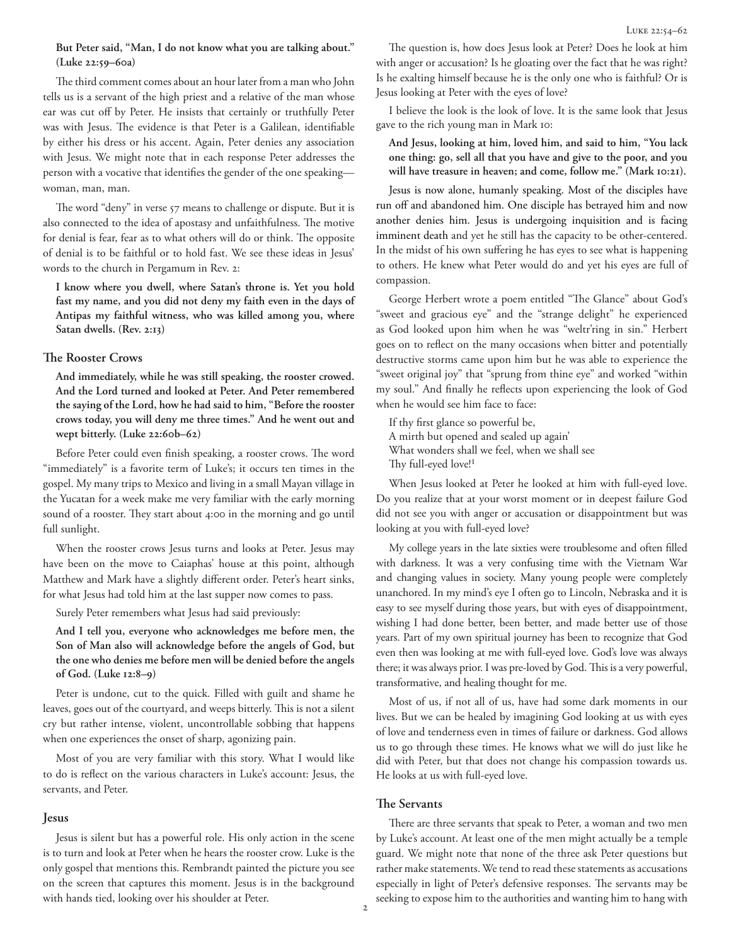## **But Peter said, "Man, I do not know what you are talking about." (Luke 22:59–60a)**

The third comment comes about an hour later from a man who John tells us is a servant of the high priest and a relative of the man whose ear was cut off by Peter. He insists that certainly or truthfully Peter was with Jesus. The evidence is that Peter is a Galilean, identifiable by either his dress or his accent. Again, Peter denies any association with Jesus. We might note that in each response Peter addresses the person with a vocative that identifies the gender of the one speaking woman, man, man.

The word "deny" in verse 57 means to challenge or dispute. But it is also connected to the idea of apostasy and unfaithfulness. The motive for denial is fear, fear as to what others will do or think. The opposite of denial is to be faithful or to hold fast. We see these ideas in Jesus' words to the church in Pergamum in Rev. 2:

**I know where you dwell, where Satan's throne is. Yet you hold fast my name, and you did not deny my faith even in the days of Antipas my faithful witness, who was killed among you, where Satan dwells. (Rev. 2:13)**

### **The Rooster Crows**

**And immediately, while he was still speaking, the rooster crowed. And the Lord turned and looked at Peter. And Peter remembered the saying of the Lord, how he had said to him, "Before the rooster crows today, you will deny me three times." And he went out and wept bitterly. (Luke 22:60b–62)**

Before Peter could even finish speaking, a rooster crows. The word "immediately" is a favorite term of Luke's; it occurs ten times in the gospel. My many trips to Mexico and living in a small Mayan village in the Yucatan for a week make me very familiar with the early morning sound of a rooster. They start about 4:00 in the morning and go until full sunlight.

When the rooster crows Jesus turns and looks at Peter. Jesus may have been on the move to Caiaphas' house at this point, although Matthew and Mark have a slightly different order. Peter's heart sinks, for what Jesus had told him at the last supper now comes to pass.

Surely Peter remembers what Jesus had said previously:

**And I tell you, everyone who acknowledges me before men, the Son of Man also will acknowledge before the angels of God, but the one who denies me before men will be denied before the angels of God. (Luke 12:8–9)**

Peter is undone, cut to the quick. Filled with guilt and shame he leaves, goes out of the courtyard, and weeps bitterly. This is not a silent cry but rather intense, violent, uncontrollable sobbing that happens when one experiences the onset of sharp, agonizing pain.

Most of you are very familiar with this story. What I would like to do is reflect on the various characters in Luke's account: Jesus, the servants, and Peter.

#### **Jesus**

Jesus is silent but has a powerful role. His only action in the scene is to turn and look at Peter when he hears the rooster crow. Luke is the only gospel that mentions this. Rembrandt painted the picture you see on the screen that captures this moment. Jesus is in the background with hands tied, looking over his shoulder at Peter.

The question is, how does Jesus look at Peter? Does he look at him with anger or accusation? Is he gloating over the fact that he was right? Is he exalting himself because he is the only one who is faithful? Or is Jesus looking at Peter with the eyes of love?

I believe the look is the look of love. It is the same look that Jesus gave to the rich young man in Mark 10:

**And Jesus, looking at him, loved him, and said to him, "You lack one thing: go, sell all that you have and give to the poor, and you will have treasure in heaven; and come, follow me." (Mark 10:21).**

Jesus is now alone, humanly speaking. Most of the disciples have run off and abandoned him. One disciple has betrayed him and now another denies him. Jesus is undergoing inquisition and is facing imminent death and yet he still has the capacity to be other-centered. In the midst of his own suffering he has eyes to see what is happening to others. He knew what Peter would do and yet his eyes are full of compassion.

George Herbert wrote a poem entitled "The Glance" about God's "sweet and gracious eye" and the "strange delight" he experienced as God looked upon him when he was "weltr'ring in sin." Herbert goes on to reflect on the many occasions when bitter and potentially destructive storms came upon him but he was able to experience the "sweet original joy" that "sprung from thine eye" and worked "within my soul." And finally he reflects upon experiencing the look of God when he would see him face to face:

If thy first glance so powerful be, A mirth but opened and sealed up again' What wonders shall we feel, when we shall see Thy full-eyed love!<sup>1</sup>

When Jesus looked at Peter he looked at him with full-eyed love. Do you realize that at your worst moment or in deepest failure God did not see you with anger or accusation or disappointment but was looking at you with full-eyed love?

My college years in the late sixties were troublesome and often filled with darkness. It was a very confusing time with the Vietnam War and changing values in society. Many young people were completely unanchored. In my mind's eye I often go to Lincoln, Nebraska and it is easy to see myself during those years, but with eyes of disappointment, wishing I had done better, been better, and made better use of those years. Part of my own spiritual journey has been to recognize that God even then was looking at me with full-eyed love. God's love was always there; it was always prior. I was pre-loved by God. This is a very powerful, transformative, and healing thought for me.

Most of us, if not all of us, have had some dark moments in our lives. But we can be healed by imagining God looking at us with eyes of love and tenderness even in times of failure or darkness. God allows us to go through these times. He knows what we will do just like he did with Peter, but that does not change his compassion towards us. He looks at us with full-eyed love.

## **The Servants**

There are three servants that speak to Peter, a woman and two men by Luke's account. At least one of the men might actually be a temple guard. We might note that none of the three ask Peter questions but rather make statements. We tend to read these statements as accusations especially in light of Peter's defensive responses. The servants may be seeking to expose him to the authorities and wanting him to hang with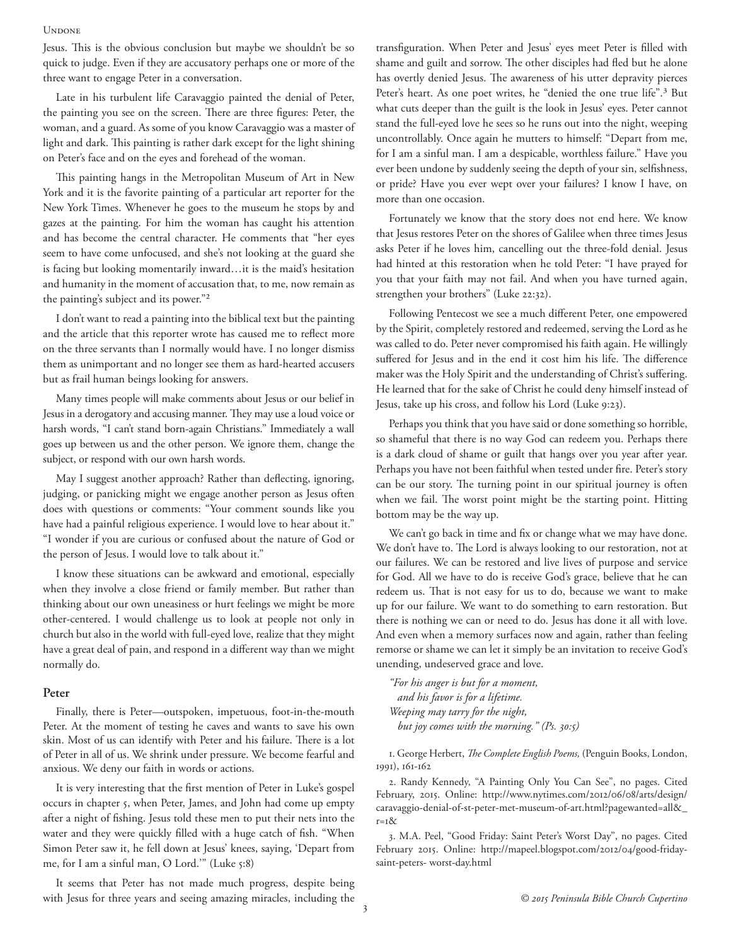#### **UNDONE**

Jesus. This is the obvious conclusion but maybe we shouldn't be so quick to judge. Even if they are accusatory perhaps one or more of the three want to engage Peter in a conversation.

Late in his turbulent life Caravaggio painted the denial of Peter, the painting you see on the screen. There are three figures: Peter, the woman, and a guard. As some of you know Caravaggio was a master of light and dark. This painting is rather dark except for the light shining on Peter's face and on the eyes and forehead of the woman.

This painting hangs in the Metropolitan Museum of Art in New York and it is the favorite painting of a particular art reporter for the New York Times. Whenever he goes to the museum he stops by and gazes at the painting. For him the woman has caught his attention and has become the central character. He comments that "her eyes seem to have come unfocused, and she's not looking at the guard she is facing but looking momentarily inward…it is the maid's hesitation and humanity in the moment of accusation that, to me, now remain as the painting's subject and its power."2

I don't want to read a painting into the biblical text but the painting and the article that this reporter wrote has caused me to reflect more on the three servants than I normally would have. I no longer dismiss them as unimportant and no longer see them as hard-hearted accusers but as frail human beings looking for answers.

Many times people will make comments about Jesus or our belief in Jesus in a derogatory and accusing manner. They may use a loud voice or harsh words, "I can't stand born-again Christians." Immediately a wall goes up between us and the other person. We ignore them, change the subject, or respond with our own harsh words.

May I suggest another approach? Rather than deflecting, ignoring, judging, or panicking might we engage another person as Jesus often does with questions or comments: "Your comment sounds like you have had a painful religious experience. I would love to hear about it." "I wonder if you are curious or confused about the nature of God or the person of Jesus. I would love to talk about it."

I know these situations can be awkward and emotional, especially when they involve a close friend or family member. But rather than thinking about our own uneasiness or hurt feelings we might be more other-centered. I would challenge us to look at people not only in church but also in the world with full-eyed love, realize that they might have a great deal of pain, and respond in a different way than we might normally do.

### **Peter**

Finally, there is Peter—outspoken, impetuous, foot-in-the-mouth Peter. At the moment of testing he caves and wants to save his own skin. Most of us can identify with Peter and his failure. There is a lot of Peter in all of us. We shrink under pressure. We become fearful and anxious. We deny our faith in words or actions.

It is very interesting that the first mention of Peter in Luke's gospel occurs in chapter 5, when Peter, James, and John had come up empty after a night of fishing. Jesus told these men to put their nets into the water and they were quickly filled with a huge catch of fish. "When Simon Peter saw it, he fell down at Jesus' knees, saying, 'Depart from me, for I am a sinful man, O Lord.'" (Luke 5:8)

It seems that Peter has not made much progress, despite being with Jesus for three years and seeing amazing miracles, including the transfiguration. When Peter and Jesus' eyes meet Peter is filled with shame and guilt and sorrow. The other disciples had fled but he alone has overtly denied Jesus. The awareness of his utter depravity pierces Peter's heart. As one poet writes, he "denied the one true life".<sup>3</sup> But what cuts deeper than the guilt is the look in Jesus' eyes. Peter cannot stand the full-eyed love he sees so he runs out into the night, weeping uncontrollably. Once again he mutters to himself: "Depart from me, for I am a sinful man. I am a despicable, worthless failure." Have you ever been undone by suddenly seeing the depth of your sin, selfishness, or pride? Have you ever wept over your failures? I know I have, on more than one occasion.

Fortunately we know that the story does not end here. We know that Jesus restores Peter on the shores of Galilee when three times Jesus asks Peter if he loves him, cancelling out the three-fold denial. Jesus had hinted at this restoration when he told Peter: "I have prayed for you that your faith may not fail. And when you have turned again, strengthen your brothers" (Luke 22:32).

Following Pentecost we see a much different Peter, one empowered by the Spirit, completely restored and redeemed, serving the Lord as he was called to do. Peter never compromised his faith again. He willingly suffered for Jesus and in the end it cost him his life. The difference maker was the Holy Spirit and the understanding of Christ's suffering. He learned that for the sake of Christ he could deny himself instead of Jesus, take up his cross, and follow his Lord (Luke 9:23).

Perhaps you think that you have said or done something so horrible, so shameful that there is no way God can redeem you. Perhaps there is a dark cloud of shame or guilt that hangs over you year after year. Perhaps you have not been faithful when tested under fire. Peter's story can be our story. The turning point in our spiritual journey is often when we fail. The worst point might be the starting point. Hitting bottom may be the way up.

We can't go back in time and fix or change what we may have done. We don't have to. The Lord is always looking to our restoration, not at our failures. We can be restored and live lives of purpose and service for God. All we have to do is receive God's grace, believe that he can redeem us. That is not easy for us to do, because we want to make up for our failure. We want to do something to earn restoration. But there is nothing we can or need to do. Jesus has done it all with love. And even when a memory surfaces now and again, rather than feeling remorse or shame we can let it simply be an invitation to receive God's unending, undeserved grace and love.

*"For his anger is but for a moment, and his favor is for a lifetime. Weeping may tarry for the night, but joy comes with the morning." (Ps. 30:5)*

1. George Herbert, *The Complete English Poems,* (Penguin Books, London, 1991), 161-162

2. Randy Kennedy, "A Painting Only You Can See", no pages. Cited February, 2015. Online: http://www.nytimes.com/2012/06/08/arts/design/ caravaggio-denial-of-st-peter-met-museum-of-art.html?pagewanted=all&\_ r=1&

3. M.A. Peel, "Good Friday: Saint Peter's Worst Day", no pages. Cited February 2015. Online: http://mapeel.blogspot.com/2012/04/good-fridaysaint-peters- worst-day.html